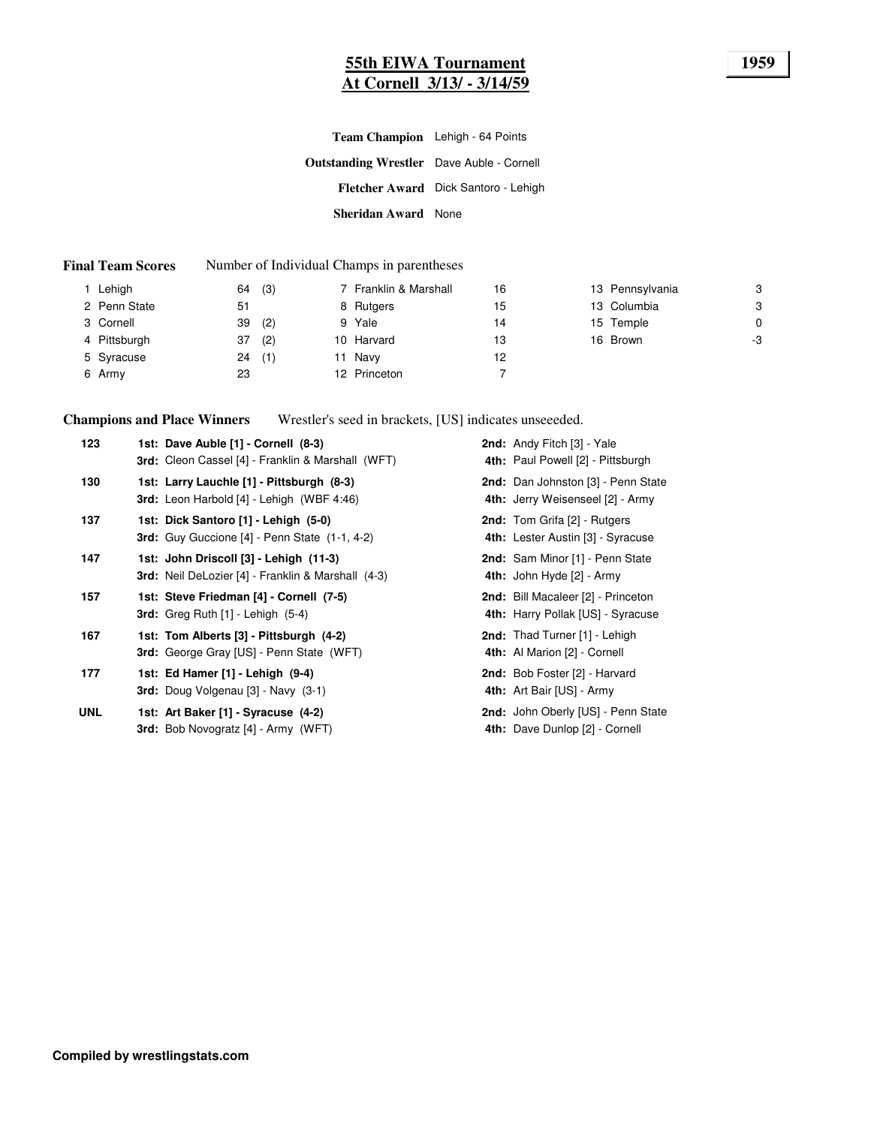#### **55th EIWA Tournament 1959 At Cornell 3/13/ - 3/14/59**

| Team Champion Lehigh - 64 Points                 |                                      |
|--------------------------------------------------|--------------------------------------|
| <b>Outstanding Wrestler</b> Dave Auble - Cornell |                                      |
|                                                  | Fletcher Award Dick Santoro - Lehigh |
| <b>Sheridan Award</b> None                       |                                      |

#### **Final Team Scores** Number of Individual Champs in parentheses

| Lehigh       | (3)<br>64 | 7 Franklin & Marshall | 16 | 13 Pennsylvania | 3  |
|--------------|-----------|-----------------------|----|-----------------|----|
| 2 Penn State | 51        | 8 Rutgers             | 15 | 13 Columbia     | 3  |
| 3 Cornell    | 39<br>(2) | 9 Yale                | 14 | 15 Temple       | 0  |
| 4 Pittsburgh | (2)<br>37 | 10 Harvard            | 13 | 16 Brown        | -3 |
| 5 Syracuse   | (1)<br>24 | 11 Navy               | 12 |                 |    |
| 6 Army       | 23        | 12 Princeton          |    |                 |    |

**Champions and Place Winners** Wrestler's seed in brackets, [US] indicates unseeeded.

| 123        | 1st: Dave Auble [1] - Cornell (8-3)<br>3rd: Cleon Cassel [4] - Franklin & Marshall (WFT)         | 2nd: Andy Fitch [3] - Yale<br>4th: Paul Powell [2] - Pittsburgh          |
|------------|--------------------------------------------------------------------------------------------------|--------------------------------------------------------------------------|
| 130        | 1st: Larry Lauchle [1] - Pittsburgh (8-3)<br>3rd: Leon Harbold [4] - Lehigh (WBF 4:46)           | 2nd: Dan Johnston [3] - Penn State<br>4th: Jerry Weisenseel [2] - Army   |
| 137        | 1st: Dick Santoro [1] - Lehigh (5-0)<br><b>3rd:</b> Guy Guccione $[4]$ - Penn State $(1-1, 4-2)$ | <b>2nd:</b> Tom Grifa [2] - Rutgers<br>4th: Lester Austin [3] - Syracuse |
| 147        | 1st: John Driscoll [3] - Lehigh (11-3)<br>3rd: Neil DeLozier [4] - Franklin & Marshall (4-3)     | 2nd: Sam Minor [1] - Penn State<br>4th: John Hyde [2] - Army             |
| 157        | 1st: Steve Friedman [4] - Cornell (7-5)<br><b>3rd:</b> Greg Ruth $[1]$ - Lehigh $(5-4)$          | 2nd: Bill Macaleer [2] - Princeton<br>4th: Harry Pollak [US] - Syracuse  |
| 167        | 1st: Tom Alberts [3] - Pittsburgh (4-2)<br><b>3rd:</b> George Gray [US] - Penn State (WFT)       | 2nd: Thad Turner [1] - Lehigh<br>4th: Al Marion [2] - Cornell            |
| 177        | 1st: Ed Hamer [1] - Lehigh (9-4)<br>3rd: Doug Volgenau [3] - Navy (3-1)                          | 2nd: Bob Foster [2] - Harvard<br>4th: Art Bair [US] - Army               |
| <b>UNL</b> | 1st: Art Baker [1] - Syracuse (4-2)<br><b>3rd:</b> Bob Novogratz [4] - Army (WFT)                | 2nd: John Oberly [US] - Penn State<br>4th: Dave Dunlop [2] - Cornell     |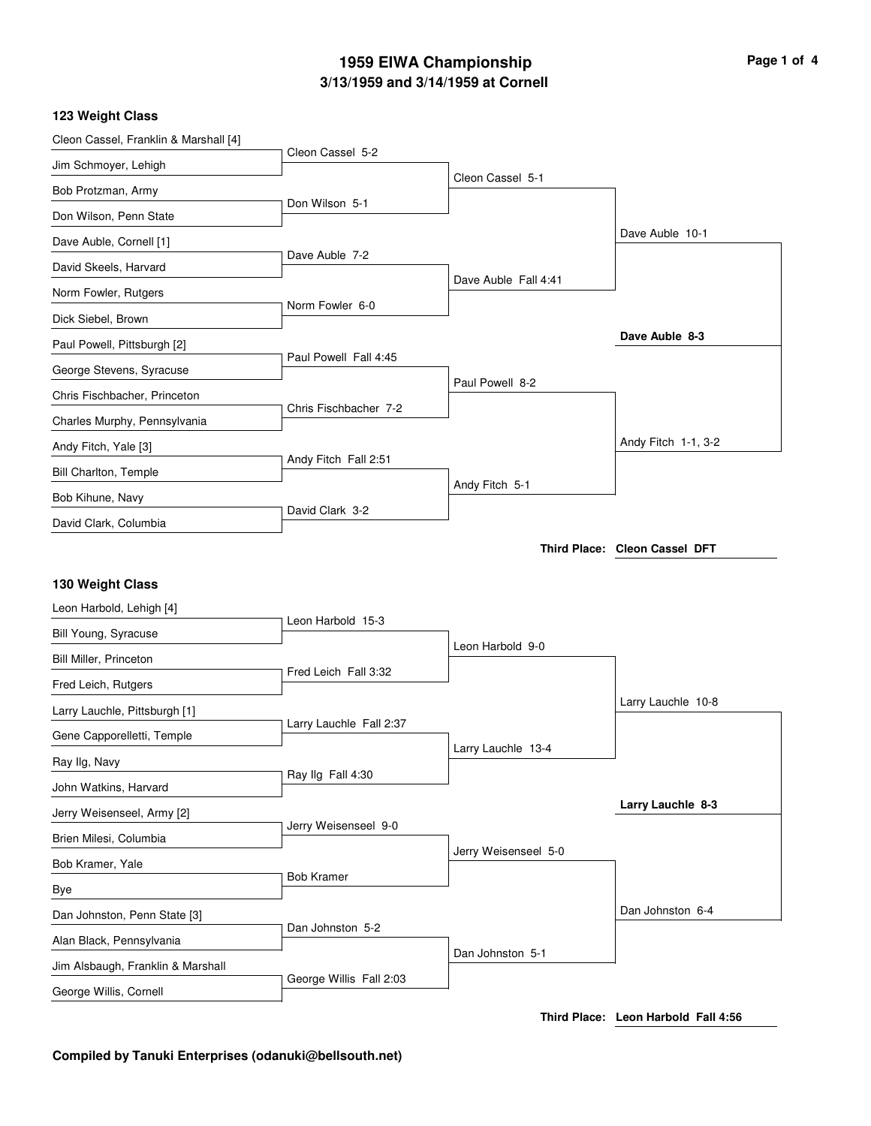## **3/13/1959 and 3/14/1959 at Cornell 1959 EIWA Championship Page 1 of 4**

#### **123 Weight Class**

| Cleon Cassel, Franklin & Marshall [4]                       |                         |                      |                               |
|-------------------------------------------------------------|-------------------------|----------------------|-------------------------------|
| Jim Schmoyer, Lehigh                                        | Cleon Cassel 5-2        |                      |                               |
| Bob Protzman, Army                                          |                         | Cleon Cassel 5-1     |                               |
| Don Wilson, Penn State                                      | Don Wilson 5-1          |                      |                               |
| Dave Auble, Cornell [1]                                     |                         |                      | Dave Auble 10-1               |
| David Skeels, Harvard                                       | Dave Auble 7-2          |                      |                               |
| Norm Fowler, Rutgers                                        |                         | Dave Auble Fall 4:41 |                               |
| Dick Siebel, Brown                                          | Norm Fowler 6-0         |                      |                               |
| Paul Powell, Pittsburgh [2]                                 |                         |                      | Dave Auble 8-3                |
| George Stevens, Syracuse                                    | Paul Powell Fall 4:45   |                      |                               |
| Chris Fischbacher, Princeton                                |                         | Paul Powell 8-2      |                               |
| Charles Murphy, Pennsylvania                                | Chris Fischbacher 7-2   |                      |                               |
| Andy Fitch, Yale [3]                                        |                         |                      | Andy Fitch 1-1, 3-2           |
| <b>Bill Charlton, Temple</b>                                | Andy Fitch Fall 2:51    |                      |                               |
| Bob Kihune, Navy                                            |                         | Andy Fitch 5-1       |                               |
| David Clark, Columbia                                       | David Clark 3-2         |                      |                               |
|                                                             |                         |                      | Third Place: Cleon Cassel DFT |
|                                                             |                         |                      |                               |
|                                                             |                         |                      |                               |
| 130 Weight Class                                            |                         |                      |                               |
| Leon Harbold, Lehigh [4]                                    | Leon Harbold 15-3       |                      |                               |
| Bill Young, Syracuse                                        |                         | Leon Harbold 9-0     |                               |
| Bill Miller, Princeton                                      | Fred Leich Fall 3:32    |                      |                               |
| Fred Leich, Rutgers                                         |                         |                      | Larry Lauchle 10-8            |
| Larry Lauchle, Pittsburgh [1]                               | Larry Lauchle Fall 2:37 |                      |                               |
| Gene Capporelletti, Temple                                  |                         | Larry Lauchle 13-4   |                               |
| Ray Ilg, Navy                                               | Ray Ilg Fall 4:30       |                      |                               |
| John Watkins, Harvard                                       |                         |                      |                               |
| Jerry Weisenseel, Army [2]                                  | Jerry Weisenseel 9-0    |                      | Larry Lauchle 8-3             |
| Brien Milesi, Columbia                                      |                         | Jerry Weisenseel 5-0 |                               |
| Bob Kramer, Yale                                            | <b>Bob Kramer</b>       |                      |                               |
| Bye                                                         |                         |                      |                               |
| Dan Johnston, Penn State [3]                                | Dan Johnston 5-2        |                      | Dan Johnston 6-4              |
| Alan Black, Pennsylvania                                    |                         | Dan Johnston 5-1     |                               |
| Jim Alsbaugh, Franklin & Marshall<br>George Willis, Cornell | George Willis Fall 2:03 |                      |                               |

**Third Place: Leon Harbold Fall 4:56**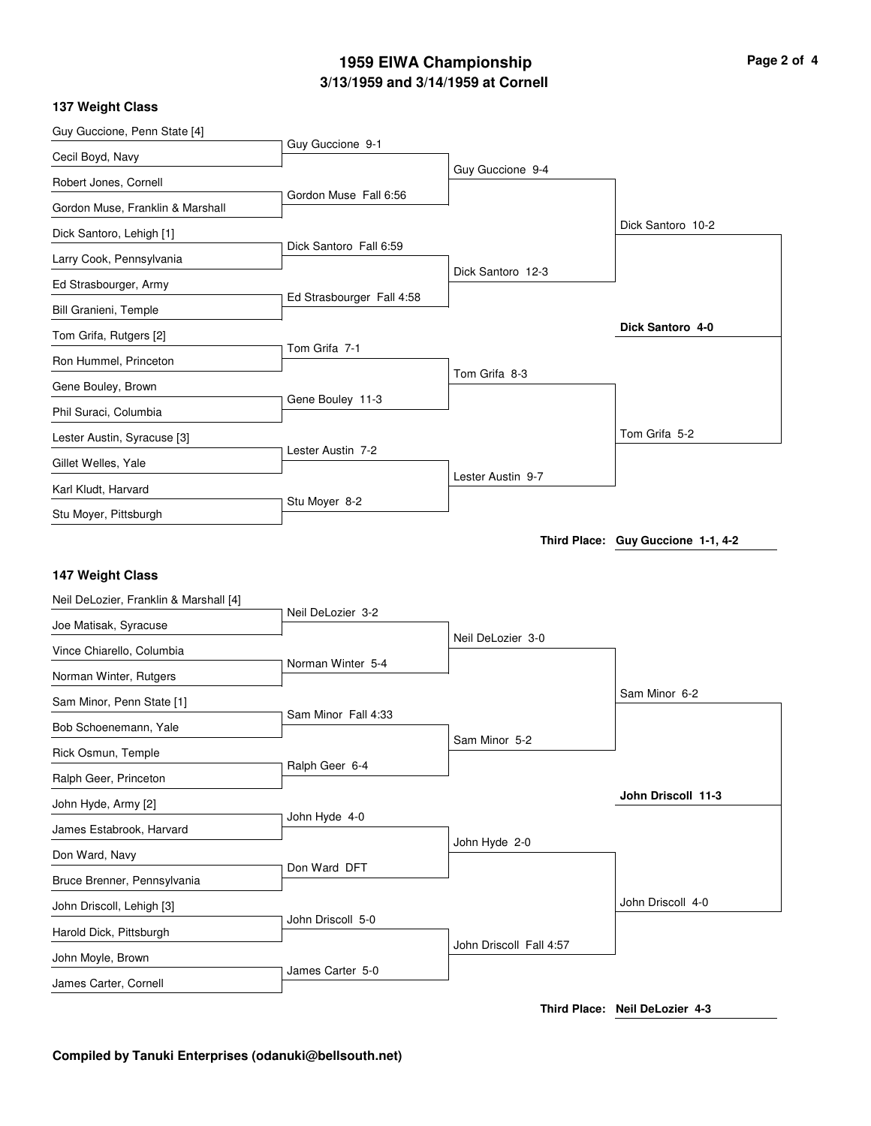# **3/13/1959 and 3/14/1959 at Cornell 1959 EIWA Championship Page 2 of 4**

#### **137 Weight Class**

| Guy Guccione, Penn State [4]               |                           |                         |                                    |
|--------------------------------------------|---------------------------|-------------------------|------------------------------------|
| Cecil Boyd, Navy                           | Guy Guccione 9-1          |                         |                                    |
| Robert Jones, Cornell                      |                           | Guy Guccione 9-4        |                                    |
| Gordon Muse, Franklin & Marshall           | Gordon Muse Fall 6:56     |                         |                                    |
| Dick Santoro, Lehigh [1]                   |                           |                         | Dick Santoro 10-2                  |
| Larry Cook, Pennsylvania                   | Dick Santoro Fall 6:59    |                         |                                    |
| Ed Strasbourger, Army                      |                           | Dick Santoro 12-3       |                                    |
| Bill Granieni, Temple                      | Ed Strasbourger Fall 4:58 |                         |                                    |
| Tom Grifa, Rutgers [2]                     |                           |                         | Dick Santoro 4-0                   |
| Ron Hummel, Princeton                      | Tom Grifa 7-1             |                         |                                    |
| Gene Bouley, Brown                         |                           | Tom Grifa 8-3           |                                    |
| Phil Suraci, Columbia                      | Gene Bouley 11-3          |                         |                                    |
| Lester Austin, Syracuse [3]                |                           |                         | Tom Grifa 5-2                      |
| Gillet Welles, Yale                        | Lester Austin 7-2         |                         |                                    |
| Karl Kludt, Harvard                        |                           | Lester Austin 9-7       |                                    |
| Stu Moyer, Pittsburgh                      | Stu Moyer 8-2             |                         |                                    |
|                                            |                           |                         | Third Place: Guy Guccione 1-1, 4-2 |
|                                            |                           |                         |                                    |
|                                            |                           |                         |                                    |
| 147 Weight Class                           |                           |                         |                                    |
| Neil DeLozier, Franklin & Marshall [4]     | Neil DeLozier 3-2         |                         |                                    |
| Joe Matisak, Syracuse                      |                           | Neil DeLozier 3-0       |                                    |
| Vince Chiarello, Columbia                  | Norman Winter 5-4         |                         |                                    |
| Norman Winter, Rutgers                     |                           |                         | Sam Minor 6-2                      |
| Sam Minor, Penn State [1]                  | Sam Minor Fall 4:33       |                         |                                    |
| Bob Schoenemann, Yale                      |                           | Sam Minor 5-2           |                                    |
| Rick Osmun, Temple                         | Ralph Geer 6-4            |                         |                                    |
| Ralph Geer, Princeton                      |                           |                         | John Driscoll 11-3                 |
| John Hyde, Army [2]                        | John Hyde 4-0             |                         |                                    |
| James Estabrook, Harvard                   |                           | John Hyde 2-0           |                                    |
| Don Ward, Navy                             | Don Ward DFT              |                         |                                    |
| Bruce Brenner, Pennsylvania                |                           |                         |                                    |
| John Driscoll, Lehigh [3]                  | John Driscoll 5-0         |                         | John Driscoll 4-0                  |
| Harold Dick, Pittsburgh                    |                           | John Driscoll Fall 4:57 |                                    |
| John Moyle, Brown<br>James Carter, Cornell | James Carter 5-0          |                         |                                    |

**Third Place: Neil DeLozier 4-3**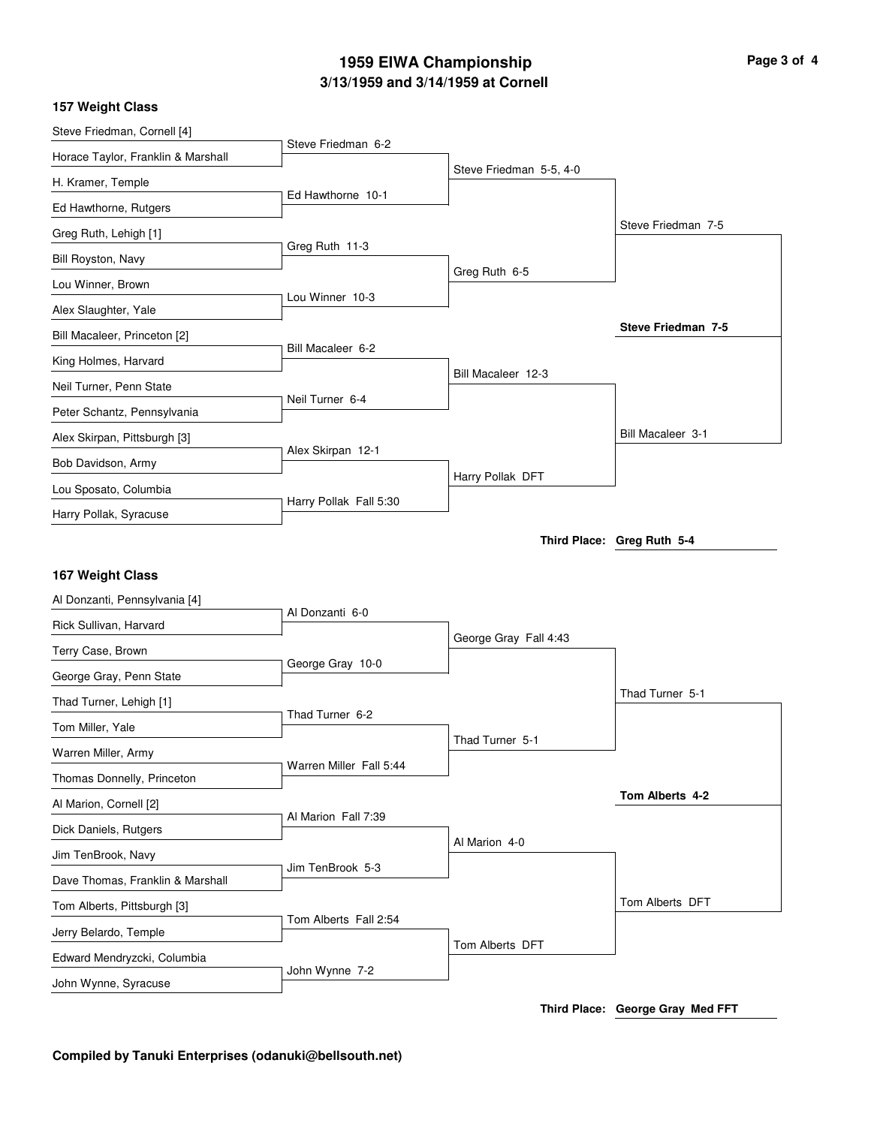# **3/13/1959 and 3/14/1959 at Cornell 1959 EIWA Championship Page 3 of 4**

#### **157 Weight Class**

| Steve Friedman, Cornell [4]                         | Steve Friedman 6-2      |                         |                            |
|-----------------------------------------------------|-------------------------|-------------------------|----------------------------|
| Horace Taylor, Franklin & Marshall                  |                         |                         |                            |
| H. Kramer, Temple                                   |                         | Steve Friedman 5-5, 4-0 |                            |
| Ed Hawthorne, Rutgers                               | Ed Hawthorne 10-1       |                         |                            |
| Greg Ruth, Lehigh [1]                               |                         |                         | Steve Friedman 7-5         |
| Bill Royston, Navy                                  | Greg Ruth 11-3          |                         |                            |
| Lou Winner, Brown                                   | Lou Winner 10-3         | Greg Ruth 6-5           |                            |
| Alex Slaughter, Yale                                |                         |                         |                            |
| Bill Macaleer, Princeton [2]                        |                         |                         | Steve Friedman 7-5         |
| King Holmes, Harvard                                | Bill Macaleer 6-2       |                         |                            |
| Neil Turner, Penn State                             |                         | Bill Macaleer 12-3      |                            |
| Peter Schantz, Pennsylvania                         | Neil Turner 6-4         |                         |                            |
| Alex Skirpan, Pittsburgh [3]                        |                         |                         | Bill Macaleer 3-1          |
| Bob Davidson, Army                                  | Alex Skirpan 12-1       |                         |                            |
| Lou Sposato, Columbia                               |                         | Harry Pollak DFT        |                            |
| Harry Pollak, Syracuse                              | Harry Pollak Fall 5:30  |                         |                            |
|                                                     |                         |                         | Third Place: Greg Ruth 5-4 |
|                                                     |                         |                         |                            |
|                                                     |                         |                         |                            |
| 167 Weight Class                                    |                         |                         |                            |
| Al Donzanti, Pennsylvania [4]                       | Al Donzanti 6-0         |                         |                            |
| Rick Sullivan, Harvard                              |                         | George Gray Fall 4:43   |                            |
| Terry Case, Brown                                   | George Gray 10-0        |                         |                            |
| George Gray, Penn State                             |                         |                         | Thad Turner 5-1            |
| Thad Turner, Lehigh [1]                             | Thad Turner 6-2         |                         |                            |
| Tom Miller, Yale                                    |                         | Thad Turner 5-1         |                            |
| Warren Miller, Army                                 | Warren Miller Fall 5:44 |                         |                            |
| Thomas Donnelly, Princeton                          |                         |                         | Tom Alberts 4-2            |
| Al Marion, Cornell [2]                              | Al Marion Fall 7:39     |                         |                            |
| Dick Daniels, Rutgers                               |                         | Al Marion 4-0           |                            |
| Jim TenBrook, Navy                                  | Jim TenBrook 5-3        |                         |                            |
| Dave Thomas, Franklin & Marshall                    |                         |                         | Tom Alberts DFT            |
| Tom Alberts, Pittsburgh [3]                         | Tom Alberts Fall 2:54   |                         |                            |
| Jerry Belardo, Temple                               |                         | Tom Alberts DFT         |                            |
| Edward Mendryzcki, Columbia<br>John Wynne, Syracuse | John Wynne 7-2          |                         |                            |

**Third Place: George Gray Med FFT**

**Compiled by Tanuki Enterprises (odanuki@bellsouth.net)**